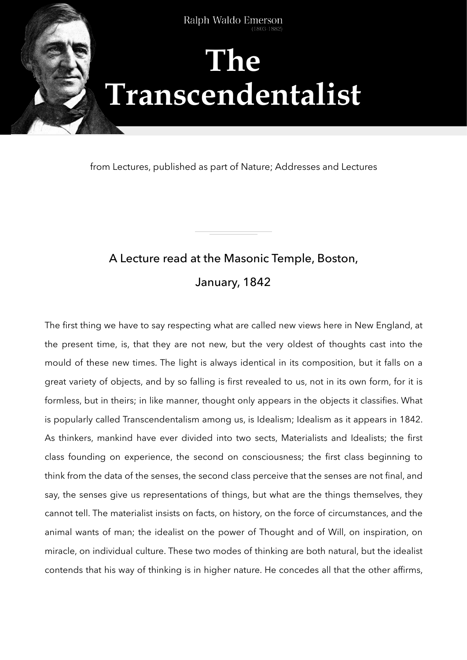

from Lectures, published as part of Nature; Addresses and Lectures

# A Lecture read at the Masonic Temple, Boston, January, 1842

The first thing we have to say respecting what are called new views here in New England, at the present time, is, that they are not new, but the very oldest of thoughts cast into the mould of these new times. The light is always identical in its composition, but it falls on a great variety of objects, and by so falling is first revealed to us, not in its own form, for it is formless, but in theirs; in like manner, thought only appears in the objects it classifies. What is popularly called Transcendentalism among us, is Idealism; Idealism as it appears in 1842. As thinkers, mankind have ever divided into two sects, Materialists and Idealists; the first class founding on experience, the second on consciousness; the first class beginning to think from the data of the senses, the second class perceive that the senses are not final, and say, the senses give us representations of things, but what are the things themselves, they cannot tell. The materialist insists on facts, on history, on the force of circumstances, and the animal wants of man; the idealist on the power of Thought and of Will, on inspiration, on miracle, on individual culture. These two modes of thinking are both natural, but the idealist contends that his way of thinking is in higher nature. He concedes all that the other affirms,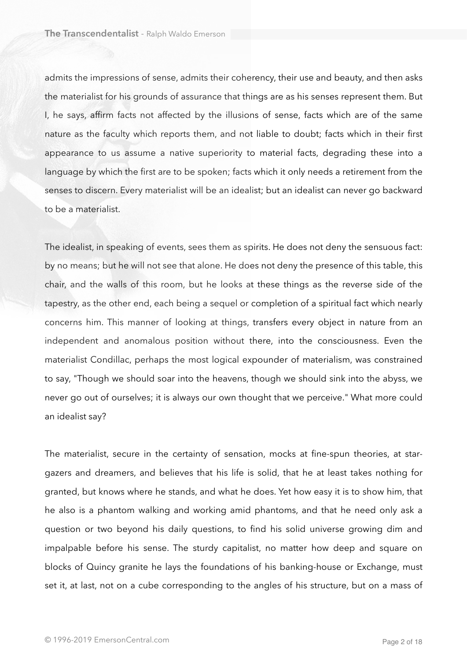admits the impressions of sense, admits their coherency, their use and beauty, and then asks the materialist for his grounds of assurance that things are as his senses represent them. But I, he says, affirm facts not affected by the illusions of sense, facts which are of the same nature as the faculty which reports them, and not liable to doubt; facts which in their first appearance to us assume a native superiority to material facts, degrading these into a language by which the first are to be spoken; facts which it only needs a retirement from the senses to discern. Every materialist will be an idealist; but an idealist can never go backward to be a materialist.

The idealist, in speaking of events, sees them as spirits. He does not deny the sensuous fact: by no means; but he will not see that alone. He does not deny the presence of this table, this chair, and the walls of this room, but he looks at these things as the reverse side of the tapestry, as the other end, each being a sequel or completion of a spiritual fact which nearly concerns him. This manner of looking at things, transfers every object in nature from an independent and anomalous position without there, into the consciousness. Even the materialist Condillac, perhaps the most logical expounder of materialism, was constrained to say, "Though we should soar into the heavens, though we should sink into the abyss, we never go out of ourselves; it is always our own thought that we perceive." What more could an idealist say?

The materialist, secure in the certainty of sensation, mocks at fine-spun theories, at stargazers and dreamers, and believes that his life is solid, that he at least takes nothing for granted, but knows where he stands, and what he does. Yet how easy it is to show him, that he also is a phantom walking and working amid phantoms, and that he need only ask a question or two beyond his daily questions, to find his solid universe growing dim and impalpable before his sense. The sturdy capitalist, no matter how deep and square on blocks of Quincy granite he lays the foundations of his banking-house or Exchange, must set it, at last, not on a cube corresponding to the angles of his structure, but on a mass of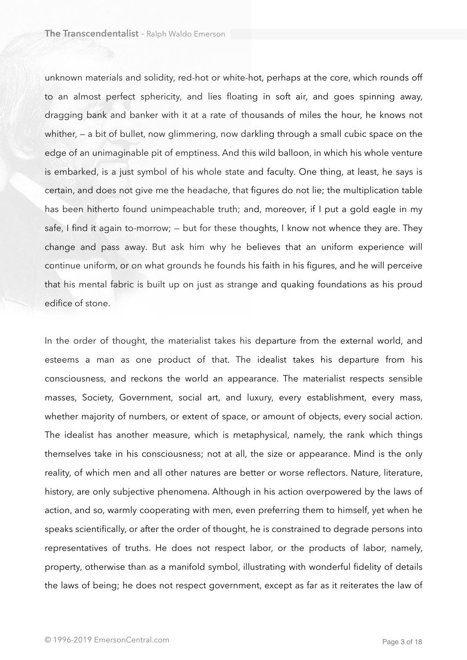unknown materials and solidity, red-hot or white-hot, perhaps at the core, which rounds off to an almost perfect sphericity, and lies floating in soft air, and goes spinning away, dragging bank and banker with it at a rate of thousands of miles the hour, he knows not whither, – a bit of bullet, now glimmering, now darkling through a small cubic space on the edge of an unimaginable pit of emptiness. And this wild balloon, in which his whole venture is embarked, is a just symbol of his whole state and faculty. One thing, at least, he says is certain, and does not give me the headache, that figures do not lie; the multiplication table has been hitherto found unimpeachable truth; and, moreover, if I put a gold eagle in my safe, I find it again to-morrow; — but for these thoughts, I know not whence they are. They change and pass away. But ask him why he believes that an uniform experience will continue uniform, or on what grounds he founds his faith in his figures, and he will perceive that his mental fabric is built up on just as strange and quaking foundations as his proud edifice of stone.

In the order of thought, the materialist takes his departure from the external world, and esteems a man as one product of that. The idealist takes his departure from his consciousness, and reckons the world an appearance. The materialist respects sensible masses, Society, Government, social art, and luxury, every establishment, every mass, whether majority of numbers, or extent of space, or amount of objects, every social action. The idealist has another measure, which is metaphysical, namely, the rank which things themselves take in his consciousness; not at all, the size or appearance. Mind is the only reality, of which men and all other natures are better or worse reflectors. Nature, literature, history, are only subjective phenomena. Although in his action overpowered by the laws of action, and so, warmly cooperating with men, even preferring them to himself, yet when he speaks scientifically, or after the order of thought, he is constrained to degrade persons into representatives of truths. He does not respect labor, or the products of labor, namely, property, otherwise than as a manifold symbol, illustrating with wonderful fidelity of details the laws of being; he does not respect government, except as far as it reiterates the law of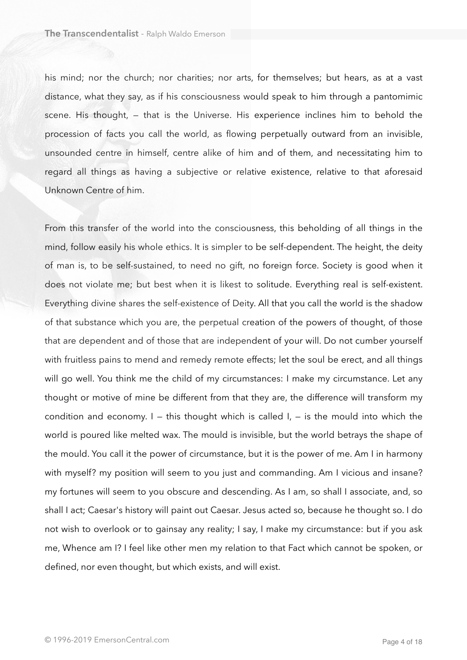his mind; nor the church; nor charities; nor arts, for themselves; but hears, as at a vast distance, what they say, as if his consciousness would speak to him through a pantomimic scene. His thought, — that is the Universe. His experience inclines him to behold the procession of facts you call the world, as flowing perpetually outward from an invisible, unsounded centre in himself, centre alike of him and of them, and necessitating him to regard all things as having a subjective or relative existence, relative to that aforesaid Unknown Centre of him.

From this transfer of the world into the consciousness, this beholding of all things in the mind, follow easily his whole ethics. It is simpler to be self-dependent. The height, the deity of man is, to be self-sustained, to need no gift, no foreign force. Society is good when it does not violate me; but best when it is likest to solitude. Everything real is self-existent. Everything divine shares the self-existence of Deity. All that you call the world is the shadow of that substance which you are, the perpetual creation of the powers of thought, of those that are dependent and of those that are independent of your will. Do not cumber yourself with fruitless pains to mend and remedy remote effects; let the soul be erect, and all things will go well. You think me the child of my circumstances: I make my circumstance. Let any thought or motive of mine be different from that they are, the difference will transform my condition and economy.  $I -$  this thought which is called  $I - I$  is the mould into which the world is poured like melted wax. The mould is invisible, but the world betrays the shape of the mould. You call it the power of circumstance, but it is the power of me. Am I in harmony with myself? my position will seem to you just and commanding. Am I vicious and insane? my fortunes will seem to you obscure and descending. As I am, so shall I associate, and, so shall I act; Caesar's history will paint out Caesar. Jesus acted so, because he thought so. I do not wish to overlook or to gainsay any reality; I say, I make my circumstance: but if you ask me, Whence am I? I feel like other men my relation to that Fact which cannot be spoken, or defined, nor even thought, but which exists, and will exist.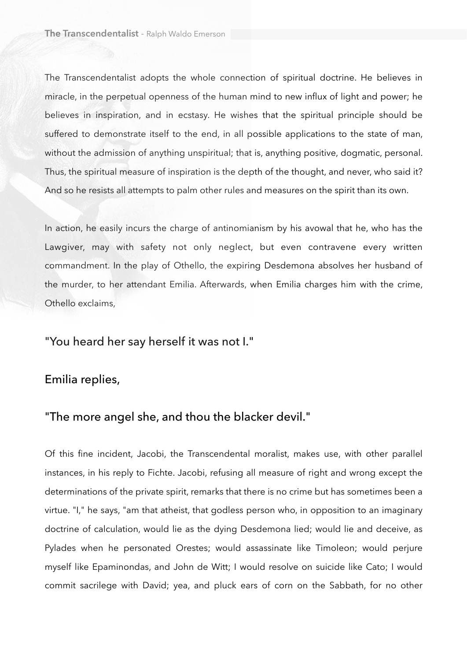The Transcendentalist adopts the whole connection of spiritual doctrine. He believes in miracle, in the perpetual openness of the human mind to new influx of light and power; he believes in inspiration, and in ecstasy. He wishes that the spiritual principle should be suffered to demonstrate itself to the end, in all possible applications to the state of man, without the admission of anything unspiritual; that is, anything positive, dogmatic, personal. Thus, the spiritual measure of inspiration is the depth of the thought, and never, who said it? And so he resists all attempts to palm other rules and measures on the spirit than its own.

In action, he easily incurs the charge of antinomianism by his avowal that he, who has the Lawgiver, may with safety not only neglect, but even contravene every written commandment. In the play of Othello, the expiring Desdemona absolves her husband of the murder, to her attendant Emilia. Afterwards, when Emilia charges him with the crime, Othello exclaims,

## "You heard her say herself it was not I."

### Emilia replies,

#### "The more angel she, and thou the blacker devil."

Of this fine incident, Jacobi, the Transcendental moralist, makes use, with other parallel instances, in his reply to Fichte. Jacobi, refusing all measure of right and wrong except the determinations of the private spirit, remarks that there is no crime but has sometimes been a virtue. "I," he says, "am that atheist, that godless person who, in opposition to an imaginary doctrine of calculation, would lie as the dying Desdemona lied; would lie and deceive, as Pylades when he personated Orestes; would assassinate like Timoleon; would perjure myself like Epaminondas, and John de Witt; I would resolve on suicide like Cato; I would commit sacrilege with David; yea, and pluck ears of corn on the Sabbath, for no other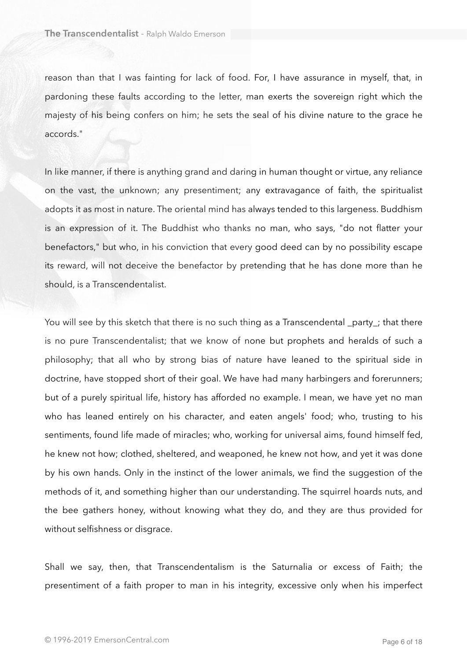reason than that I was fainting for lack of food. For, I have assurance in myself, that, in pardoning these faults according to the letter, man exerts the sovereign right which the majesty of his being confers on him; he sets the seal of his divine nature to the grace he accords."

In like manner, if there is anything grand and daring in human thought or virtue, any reliance on the vast, the unknown; any presentiment; any extravagance of faith, the spiritualist adopts it as most in nature. The oriental mind has always tended to this largeness. Buddhism is an expression of it. The Buddhist who thanks no man, who says, "do not flatter your benefactors," but who, in his conviction that every good deed can by no possibility escape its reward, will not deceive the benefactor by pretending that he has done more than he should, is a Transcendentalist.

You will see by this sketch that there is no such thing as a Transcendental \_party\_; that there is no pure Transcendentalist; that we know of none but prophets and heralds of such a philosophy; that all who by strong bias of nature have leaned to the spiritual side in doctrine, have stopped short of their goal. We have had many harbingers and forerunners; but of a purely spiritual life, history has afforded no example. I mean, we have yet no man who has leaned entirely on his character, and eaten angels' food; who, trusting to his sentiments, found life made of miracles; who, working for universal aims, found himself fed, he knew not how; clothed, sheltered, and weaponed, he knew not how, and yet it was done by his own hands. Only in the instinct of the lower animals, we find the suggestion of the methods of it, and something higher than our understanding. The squirrel hoards nuts, and the bee gathers honey, without knowing what they do, and they are thus provided for without selfishness or disgrace.

Shall we say, then, that Transcendentalism is the Saturnalia or excess of Faith; the presentiment of a faith proper to man in his integrity, excessive only when his imperfect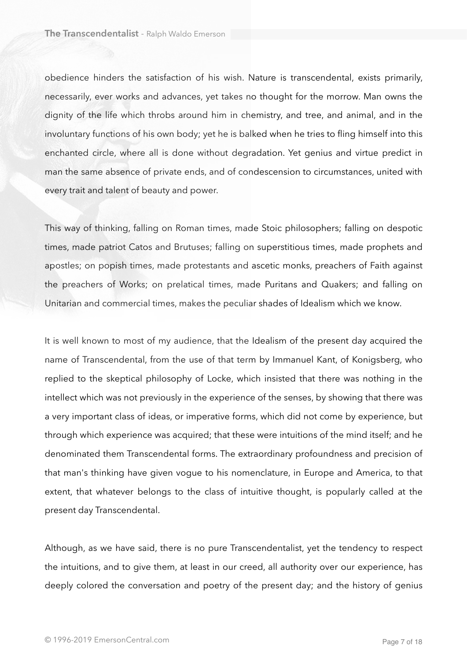obedience hinders the satisfaction of his wish. Nature is transcendental, exists primarily, necessarily, ever works and advances, yet takes no thought for the morrow. Man owns the dignity of the life which throbs around him in chemistry, and tree, and animal, and in the involuntary functions of his own body; yet he is balked when he tries to fling himself into this enchanted circle, where all is done without degradation. Yet genius and virtue predict in man the same absence of private ends, and of condescension to circumstances, united with every trait and talent of beauty and power.

This way of thinking, falling on Roman times, made Stoic philosophers; falling on despotic times, made patriot Catos and Brutuses; falling on superstitious times, made prophets and apostles; on popish times, made protestants and ascetic monks, preachers of Faith against the preachers of Works; on prelatical times, made Puritans and Quakers; and falling on Unitarian and commercial times, makes the peculiar shades of Idealism which we know.

It is well known to most of my audience, that the Idealism of the present day acquired the name of Transcendental, from the use of that term by Immanuel Kant, of Konigsberg, who replied to the skeptical philosophy of Locke, which insisted that there was nothing in the intellect which was not previously in the experience of the senses, by showing that there was a very important class of ideas, or imperative forms, which did not come by experience, but through which experience was acquired; that these were intuitions of the mind itself; and he denominated them Transcendental forms. The extraordinary profoundness and precision of that man's thinking have given vogue to his nomenclature, in Europe and America, to that extent, that whatever belongs to the class of intuitive thought, is popularly called at the present day Transcendental.

Although, as we have said, there is no pure Transcendentalist, yet the tendency to respect the intuitions, and to give them, at least in our creed, all authority over our experience, has deeply colored the conversation and poetry of the present day; and the history of genius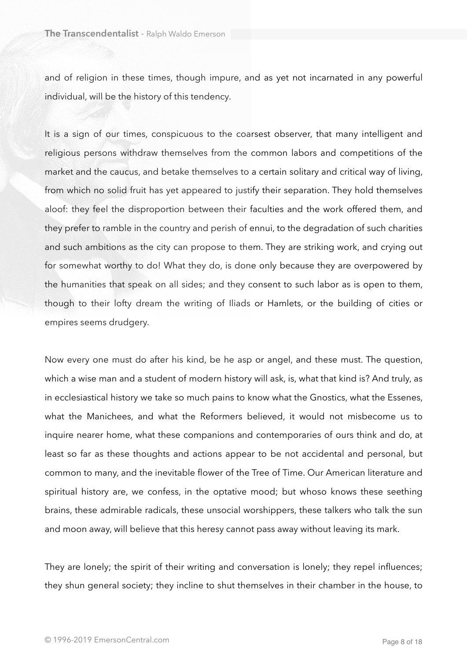and of religion in these times, though impure, and as yet not incarnated in any powerful individual, will be the history of this tendency.

It is a sign of our times, conspicuous to the coarsest observer, that many intelligent and religious persons withdraw themselves from the common labors and competitions of the market and the caucus, and betake themselves to a certain solitary and critical way of living, from which no solid fruit has yet appeared to justify their separation. They hold themselves aloof: they feel the disproportion between their faculties and the work offered them, and they prefer to ramble in the country and perish of ennui, to the degradation of such charities and such ambitions as the city can propose to them. They are striking work, and crying out for somewhat worthy to do! What they do, is done only because they are overpowered by the humanities that speak on all sides; and they consent to such labor as is open to them, though to their lofty dream the writing of Iliads or Hamlets, or the building of cities or empires seems drudgery.

Now every one must do after his kind, be he asp or angel, and these must. The question, which a wise man and a student of modern history will ask, is, what that kind is? And truly, as in ecclesiastical history we take so much pains to know what the Gnostics, what the Essenes, what the Manichees, and what the Reformers believed, it would not misbecome us to inquire nearer home, what these companions and contemporaries of ours think and do, at least so far as these thoughts and actions appear to be not accidental and personal, but common to many, and the inevitable flower of the Tree of Time. Our American literature and spiritual history are, we confess, in the optative mood; but whoso knows these seething brains, these admirable radicals, these unsocial worshippers, these talkers who talk the sun and moon away, will believe that this heresy cannot pass away without leaving its mark.

They are lonely; the spirit of their writing and conversation is lonely; they repel influences; they shun general society; they incline to shut themselves in their chamber in the house, to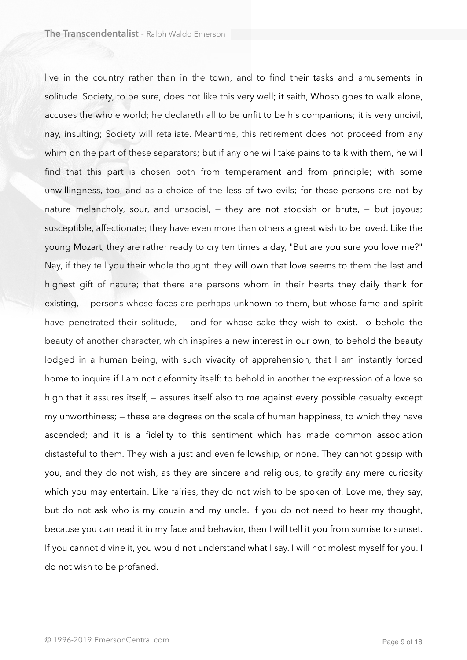live in the country rather than in the town, and to find their tasks and amusements in solitude. Society, to be sure, does not like this very well; it saith, Whoso goes to walk alone, accuses the whole world; he declareth all to be unfit to be his companions; it is very uncivil, nay, insulting; Society will retaliate. Meantime, this retirement does not proceed from any whim on the part of these separators; but if any one will take pains to talk with them, he will find that this part is chosen both from temperament and from principle; with some unwillingness, too, and as a choice of the less of two evils; for these persons are not by nature melancholy, sour, and unsocial, — they are not stockish or brute, — but joyous; susceptible, affectionate; they have even more than others a great wish to be loved. Like the young Mozart, they are rather ready to cry ten times a day, "But are you sure you love me?" Nay, if they tell you their whole thought, they will own that love seems to them the last and highest gift of nature; that there are persons whom in their hearts they daily thank for existing, — persons whose faces are perhaps unknown to them, but whose fame and spirit have penetrated their solitude, - and for whose sake they wish to exist. To behold the beauty of another character, which inspires a new interest in our own; to behold the beauty lodged in a human being, with such vivacity of apprehension, that I am instantly forced home to inquire if I am not deformity itself: to behold in another the expression of a love so high that it assures itself, — assures itself also to me against every possible casualty except my unworthiness; — these are degrees on the scale of human happiness, to which they have ascended; and it is a fidelity to this sentiment which has made common association distasteful to them. They wish a just and even fellowship, or none. They cannot gossip with you, and they do not wish, as they are sincere and religious, to gratify any mere curiosity which you may entertain. Like fairies, they do not wish to be spoken of. Love me, they say, but do not ask who is my cousin and my uncle. If you do not need to hear my thought, because you can read it in my face and behavior, then I will tell it you from sunrise to sunset. If you cannot divine it, you would not understand what I say. I will not molest myself for you. I do not wish to be profaned.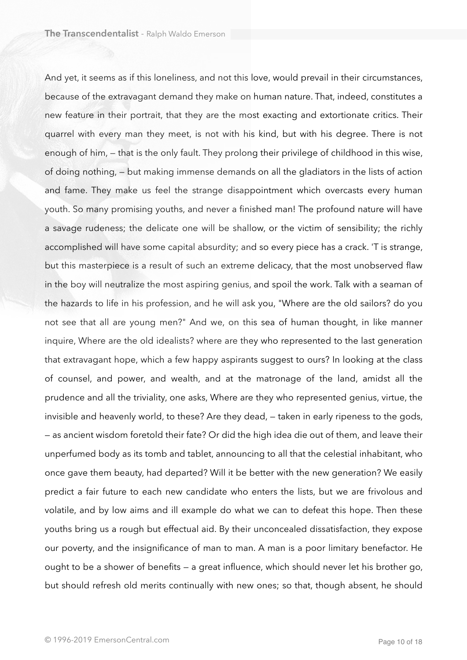And yet, it seems as if this loneliness, and not this love, would prevail in their circumstances, because of the extravagant demand they make on human nature. That, indeed, constitutes a new feature in their portrait, that they are the most exacting and extortionate critics. Their quarrel with every man they meet, is not with his kind, but with his degree. There is not enough of him, — that is the only fault. They prolong their privilege of childhood in this wise, of doing nothing, — but making immense demands on all the gladiators in the lists of action and fame. They make us feel the strange disappointment which overcasts every human youth. So many promising youths, and never a finished man! The profound nature will have a savage rudeness; the delicate one will be shallow, or the victim of sensibility; the richly accomplished will have some capital absurdity; and so every piece has a crack. 'T is strange, but this masterpiece is a result of such an extreme delicacy, that the most unobserved flaw in the boy will neutralize the most aspiring genius, and spoil the work. Talk with a seaman of the hazards to life in his profession, and he will ask you, "Where are the old sailors? do you not see that all are young men?" And we, on this sea of human thought, in like manner inquire, Where are the old idealists? where are they who represented to the last generation that extravagant hope, which a few happy aspirants suggest to ours? In looking at the class of counsel, and power, and wealth, and at the matronage of the land, amidst all the prudence and all the triviality, one asks, Where are they who represented genius, virtue, the invisible and heavenly world, to these? Are they dead, — taken in early ripeness to the gods, — as ancient wisdom foretold their fate? Or did the high idea die out of them, and leave their unperfumed body as its tomb and tablet, announcing to all that the celestial inhabitant, who once gave them beauty, had departed? Will it be better with the new generation? We easily predict a fair future to each new candidate who enters the lists, but we are frivolous and volatile, and by low aims and ill example do what we can to defeat this hope. Then these youths bring us a rough but effectual aid. By their unconcealed dissatisfaction, they expose our poverty, and the insignificance of man to man. A man is a poor limitary benefactor. He ought to be a shower of benefits — a great influence, which should never let his brother go, but should refresh old merits continually with new ones; so that, though absent, he should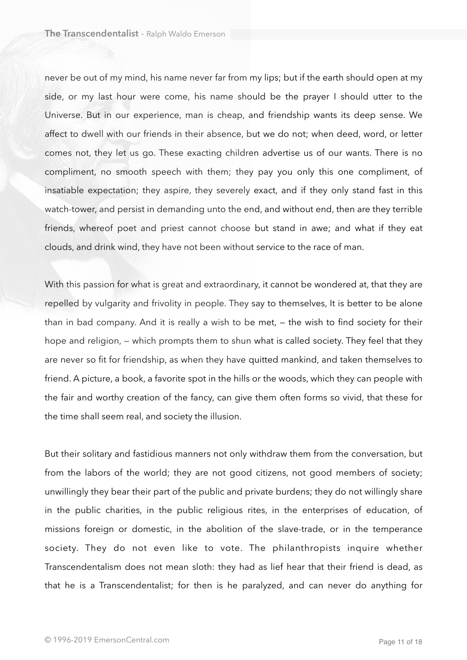never be out of my mind, his name never far from my lips; but if the earth should open at my side, or my last hour were come, his name should be the prayer I should utter to the Universe. But in our experience, man is cheap, and friendship wants its deep sense. We affect to dwell with our friends in their absence, but we do not; when deed, word, or letter comes not, they let us go. These exacting children advertise us of our wants. There is no compliment, no smooth speech with them; they pay you only this one compliment, of insatiable expectation; they aspire, they severely exact, and if they only stand fast in this watch-tower, and persist in demanding unto the end, and without end, then are they terrible friends, whereof poet and priest cannot choose but stand in awe; and what if they eat clouds, and drink wind, they have not been without service to the race of man.

With this passion for what is great and extraordinary, it cannot be wondered at, that they are repelled by vulgarity and frivolity in people. They say to themselves, It is better to be alone than in bad company. And it is really a wish to be met, — the wish to find society for their hope and religion, — which prompts them to shun what is called society. They feel that they are never so fit for friendship, as when they have quitted mankind, and taken themselves to friend. A picture, a book, a favorite spot in the hills or the woods, which they can people with the fair and worthy creation of the fancy, can give them often forms so vivid, that these for the time shall seem real, and society the illusion.

But their solitary and fastidious manners not only withdraw them from the conversation, but from the labors of the world; they are not good citizens, not good members of society; unwillingly they bear their part of the public and private burdens; they do not willingly share in the public charities, in the public religious rites, in the enterprises of education, of missions foreign or domestic, in the abolition of the slave-trade, or in the temperance society. They do not even like to vote. The philanthropists inquire whether Transcendentalism does not mean sloth: they had as lief hear that their friend is dead, as that he is a Transcendentalist; for then is he paralyzed, and can never do anything for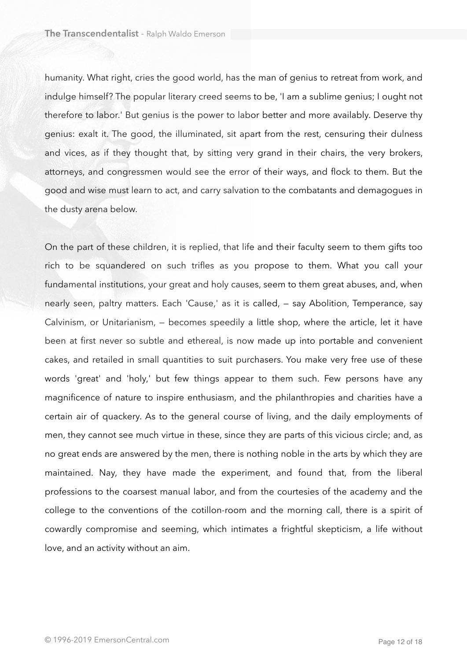humanity. What right, cries the good world, has the man of genius to retreat from work, and indulge himself? The popular literary creed seems to be, 'I am a sublime genius; I ought not therefore to labor.' But genius is the power to labor better and more availably. Deserve thy genius: exalt it. The good, the illuminated, sit apart from the rest, censuring their dulness and vices, as if they thought that, by sitting very grand in their chairs, the very brokers, attorneys, and congressmen would see the error of their ways, and flock to them. But the good and wise must learn to act, and carry salvation to the combatants and demagogues in the dusty arena below.

On the part of these children, it is replied, that life and their faculty seem to them gifts too rich to be squandered on such trifles as you propose to them. What you call your fundamental institutions, your great and holy causes, seem to them great abuses, and, when nearly seen, paltry matters. Each 'Cause,' as it is called, — say Abolition, Temperance, say Calvinism, or Unitarianism, — becomes speedily a little shop, where the article, let it have been at first never so subtle and ethereal, is now made up into portable and convenient cakes, and retailed in small quantities to suit purchasers. You make very free use of these words 'great' and 'holy,' but few things appear to them such. Few persons have any magnificence of nature to inspire enthusiasm, and the philanthropies and charities have a certain air of quackery. As to the general course of living, and the daily employments of men, they cannot see much virtue in these, since they are parts of this vicious circle; and, as no great ends are answered by the men, there is nothing noble in the arts by which they are maintained. Nay, they have made the experiment, and found that, from the liberal professions to the coarsest manual labor, and from the courtesies of the academy and the college to the conventions of the cotillon-room and the morning call, there is a spirit of cowardly compromise and seeming, which intimates a frightful skepticism, a life without love, and an activity without an aim.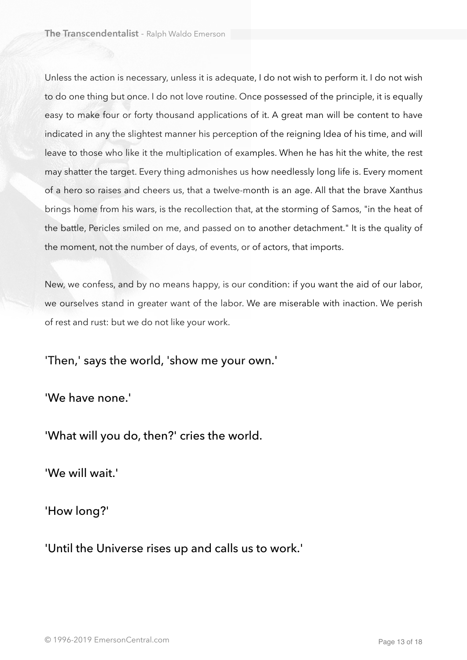Unless the action is necessary, unless it is adequate, I do not wish to perform it. I do not wish to do one thing but once. I do not love routine. Once possessed of the principle, it is equally easy to make four or forty thousand applications of it. A great man will be content to have indicated in any the slightest manner his perception of the reigning Idea of his time, and will leave to those who like it the multiplication of examples. When he has hit the white, the rest may shatter the target. Every thing admonishes us how needlessly long life is. Every moment of a hero so raises and cheers us, that a twelve-month is an age. All that the brave Xanthus brings home from his wars, is the recollection that, at the storming of Samos, "in the heat of the battle, Pericles smiled on me, and passed on to another detachment." It is the quality of the moment, not the number of days, of events, or of actors, that imports.

New, we confess, and by no means happy, is our condition: if you want the aid of our labor, we ourselves stand in greater want of the labor. We are miserable with inaction. We perish of rest and rust: but we do not like your work.

'Then,' says the world, 'show me your own.'

'We have none.'

'What will you do, then?' cries the world.

'We will wait.'

'How long?'

'Until the Universe rises up and calls us to work.'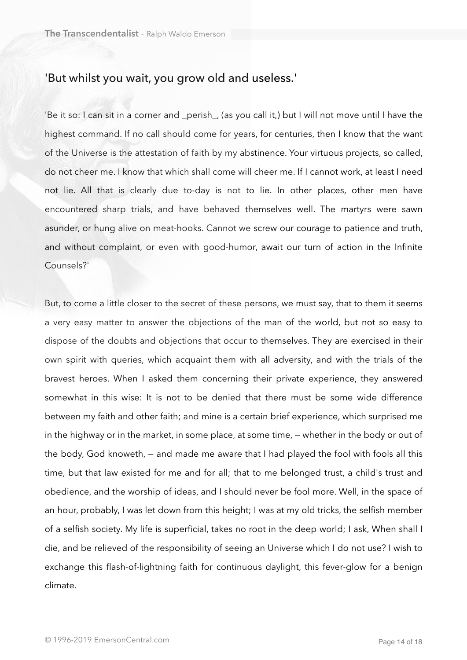## 'But whilst you wait, you grow old and useless.'

'Be it so: I can sit in a corner and \_perish\_, (as you call it,) but I will not move until I have the highest command. If no call should come for years, for centuries, then I know that the want of the Universe is the attestation of faith by my abstinence. Your virtuous projects, so called, do not cheer me. I know that which shall come will cheer me. If I cannot work, at least I need not lie. All that is clearly due to-day is not to lie. In other places, other men have encountered sharp trials, and have behaved themselves well. The martyrs were sawn asunder, or hung alive on meat-hooks. Cannot we screw our courage to patience and truth, and without complaint, or even with good-humor, await our turn of action in the Infinite Counsels?'

But, to come a little closer to the secret of these persons, we must say, that to them it seems a very easy matter to answer the objections of the man of the world, but not so easy to dispose of the doubts and objections that occur to themselves. They are exercised in their own spirit with queries, which acquaint them with all adversity, and with the trials of the bravest heroes. When I asked them concerning their private experience, they answered somewhat in this wise: It is not to be denied that there must be some wide difference between my faith and other faith; and mine is a certain brief experience, which surprised me in the highway or in the market, in some place, at some time, — whether in the body or out of the body, God knoweth, — and made me aware that I had played the fool with fools all this time, but that law existed for me and for all; that to me belonged trust, a child's trust and obedience, and the worship of ideas, and I should never be fool more. Well, in the space of an hour, probably, I was let down from this height; I was at my old tricks, the selfish member of a selfish society. My life is superficial, takes no root in the deep world; I ask, When shall I die, and be relieved of the responsibility of seeing an Universe which I do not use? I wish to exchange this flash-of-lightning faith for continuous daylight, this fever-glow for a benign climate.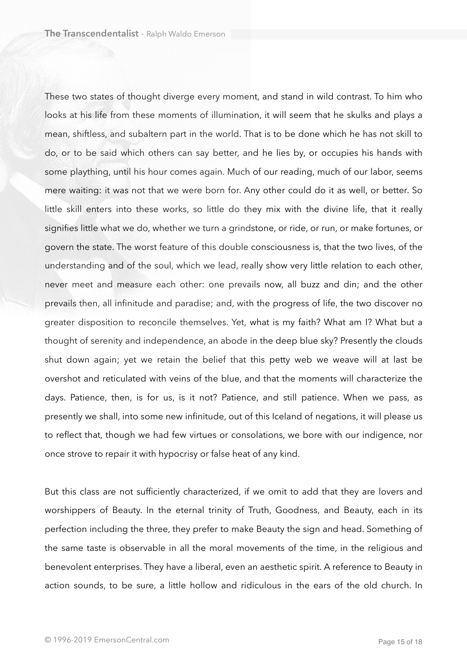These two states of thought diverge every moment, and stand in wild contrast. To him who looks at his life from these moments of illumination, it will seem that he skulks and plays a mean, shiftless, and subaltern part in the world. That is to be done which he has not skill to do, or to be said which others can say better, and he lies by, or occupies his hands with some plaything, until his hour comes again. Much of our reading, much of our labor, seems mere waiting: it was not that we were born for. Any other could do it as well, or better. So little skill enters into these works, so little do they mix with the divine life, that it really signifies little what we do, whether we turn a grindstone, or ride, or run, or make fortunes, or govern the state. The worst feature of this double consciousness is, that the two lives, of the understanding and of the soul, which we lead, really show very little relation to each other, never meet and measure each other: one prevails now, all buzz and din; and the other prevails then, all infinitude and paradise; and, with the progress of life, the two discover no greater disposition to reconcile themselves. Yet, what is my faith? What am I? What but a thought of serenity and independence, an abode in the deep blue sky? Presently the clouds shut down again; yet we retain the belief that this petty web we weave will at last be overshot and reticulated with veins of the blue, and that the moments will characterize the days. Patience, then, is for us, is it not? Patience, and still patience. When we pass, as presently we shall, into some new infinitude, out of this Iceland of negations, it will please us to reflect that, though we had few virtues or consolations, we bore with our indigence, nor once strove to repair it with hypocrisy or false heat of any kind.

But this class are not sufficiently characterized, if we omit to add that they are lovers and worshippers of Beauty. In the eternal trinity of Truth, Goodness, and Beauty, each in its perfection including the three, they prefer to make Beauty the sign and head. Something of the same taste is observable in all the moral movements of the time, in the religious and benevolent enterprises. They have a liberal, even an aesthetic spirit. A reference to Beauty in action sounds, to be sure, a little hollow and ridiculous in the ears of the old church. In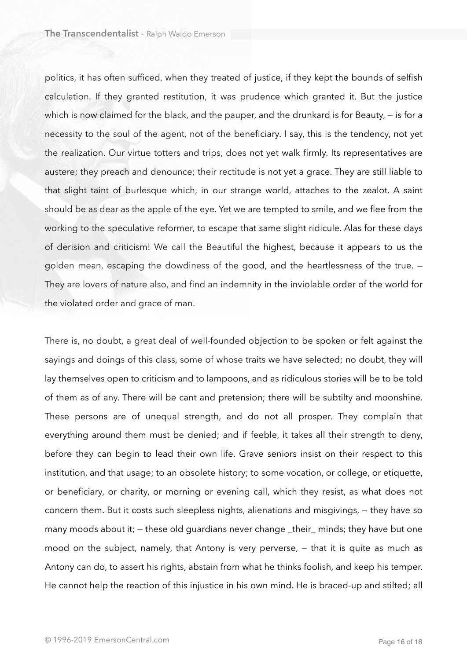politics, it has often sufficed, when they treated of justice, if they kept the bounds of selfish calculation. If they granted restitution, it was prudence which granted it. But the justice which is now claimed for the black, and the pauper, and the drunkard is for Beauty, – is for a necessity to the soul of the agent, not of the beneficiary. I say, this is the tendency, not yet the realization. Our virtue totters and trips, does not yet walk firmly. Its representatives are austere; they preach and denounce; their rectitude is not yet a grace. They are still liable to that slight taint of burlesque which, in our strange world, attaches to the zealot. A saint should be as dear as the apple of the eye. Yet we are tempted to smile, and we flee from the working to the speculative reformer, to escape that same slight ridicule. Alas for these days of derision and criticism! We call the Beautiful the highest, because it appears to us the golden mean, escaping the dowdiness of the good, and the heartlessness of the true. — They are lovers of nature also, and find an indemnity in the inviolable order of the world for the violated order and grace of man.

There is, no doubt, a great deal of well-founded objection to be spoken or felt against the sayings and doings of this class, some of whose traits we have selected; no doubt, they will lay themselves open to criticism and to lampoons, and as ridiculous stories will be to be told of them as of any. There will be cant and pretension; there will be subtilty and moonshine. These persons are of unequal strength, and do not all prosper. They complain that everything around them must be denied; and if feeble, it takes all their strength to deny, before they can begin to lead their own life. Grave seniors insist on their respect to this institution, and that usage; to an obsolete history; to some vocation, or college, or etiquette, or beneficiary, or charity, or morning or evening call, which they resist, as what does not concern them. But it costs such sleepless nights, alienations and misgivings, — they have so many moods about it; — these old guardians never change \_their\_ minds; they have but one mood on the subject, namely, that Antony is very perverse, — that it is quite as much as Antony can do, to assert his rights, abstain from what he thinks foolish, and keep his temper. He cannot help the reaction of this injustice in his own mind. He is braced-up and stilted; all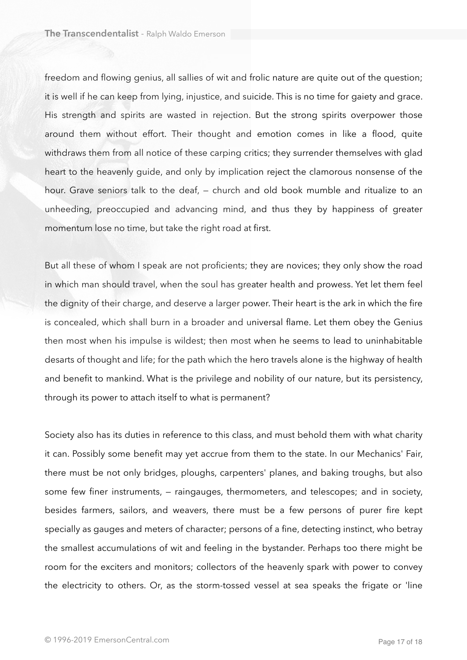freedom and flowing genius, all sallies of wit and frolic nature are quite out of the question; it is well if he can keep from lying, injustice, and suicide. This is no time for gaiety and grace. His strength and spirits are wasted in rejection. But the strong spirits overpower those around them without effort. Their thought and emotion comes in like a flood, quite withdraws them from all notice of these carping critics; they surrender themselves with glad heart to the heavenly guide, and only by implication reject the clamorous nonsense of the hour. Grave seniors talk to the deaf, — church and old book mumble and ritualize to an unheeding, preoccupied and advancing mind, and thus they by happiness of greater momentum lose no time, but take the right road at first.

But all these of whom I speak are not proficients; they are novices; they only show the road in which man should travel, when the soul has greater health and prowess. Yet let them feel the dignity of their charge, and deserve a larger power. Their heart is the ark in which the fire is concealed, which shall burn in a broader and universal flame. Let them obey the Genius then most when his impulse is wildest; then most when he seems to lead to uninhabitable desarts of thought and life; for the path which the hero travels alone is the highway of health and benefit to mankind. What is the privilege and nobility of our nature, but its persistency, through its power to attach itself to what is permanent?

Society also has its duties in reference to this class, and must behold them with what charity it can. Possibly some benefit may yet accrue from them to the state. In our Mechanics' Fair, there must be not only bridges, ploughs, carpenters' planes, and baking troughs, but also some few finer instruments, — raingauges, thermometers, and telescopes; and in society, besides farmers, sailors, and weavers, there must be a few persons of purer fire kept specially as gauges and meters of character; persons of a fine, detecting instinct, who betray the smallest accumulations of wit and feeling in the bystander. Perhaps too there might be room for the exciters and monitors; collectors of the heavenly spark with power to convey the electricity to others. Or, as the storm-tossed vessel at sea speaks the frigate or 'line